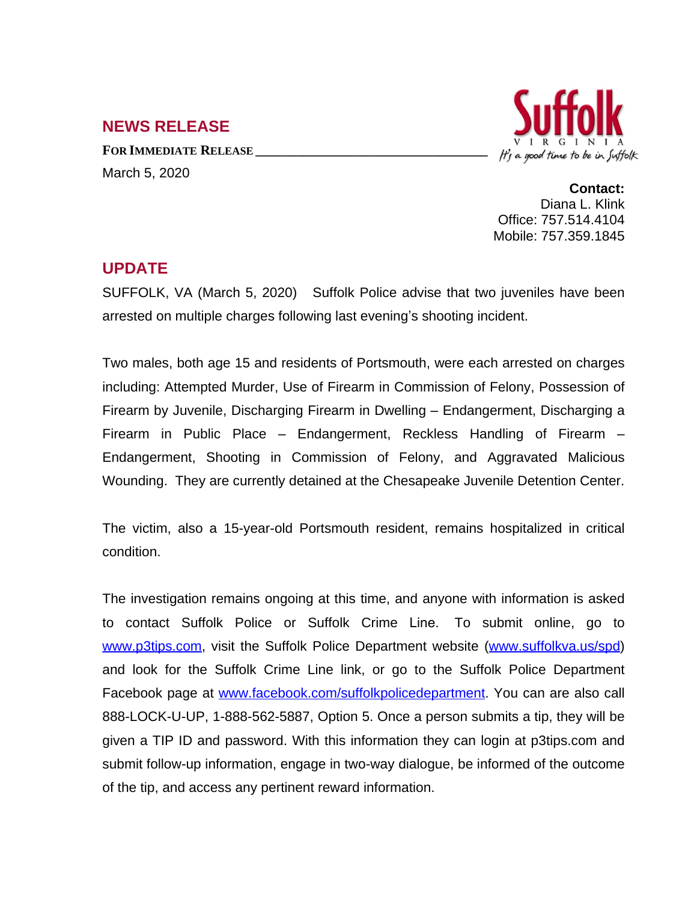## **NEWS RELEASE**

**FOR IMMEDIATE RELEASE \_\_\_\_\_\_\_\_\_\_\_\_\_\_\_\_\_\_\_\_\_\_\_\_\_\_\_\_\_\_\_\_\_\_** March 5, 2020



**Contact:** Diana L. Klink Office: 757.514.4104 Mobile: 757.359.1845

## **UPDATE**

SUFFOLK, VA (March 5, 2020) Suffolk Police advise that two juveniles have been arrested on multiple charges following last evening's shooting incident.

Two males, both age 15 and residents of Portsmouth, were each arrested on charges including: Attempted Murder, Use of Firearm in Commission of Felony, Possession of Firearm by Juvenile, Discharging Firearm in Dwelling – Endangerment, Discharging a Firearm in Public Place – Endangerment, Reckless Handling of Firearm – Endangerment, Shooting in Commission of Felony, and Aggravated Malicious Wounding. They are currently detained at the Chesapeake Juvenile Detention Center.

The victim, also a 15-year-old Portsmouth resident, remains hospitalized in critical condition.

The investigation remains ongoing at this time, and anyone with information is asked to contact Suffolk Police or Suffolk Crime Line. To submit online, go to [www.p3tips.com](http://www.p3tips.com), visit the Suffolk Police Department website ([www.suffolkva.us/spd](http://www.suffolkva.us/spd)) and look for the Suffolk Crime Line link, or go to the Suffolk Police Department Facebook page at [www.facebook.com/suffolkpolicedepartment](http://www.facebook.com/suffolkpolicedepartment). You can are also call 888-LOCK-U-UP, 1-888-562-5887, Option 5. Once a person submits a tip, they will be given a TIP ID and password. With this information they can login at p3tips.com and submit follow-up information, engage in two-way dialogue, be informed of the outcome of the tip, and access any pertinent reward information.